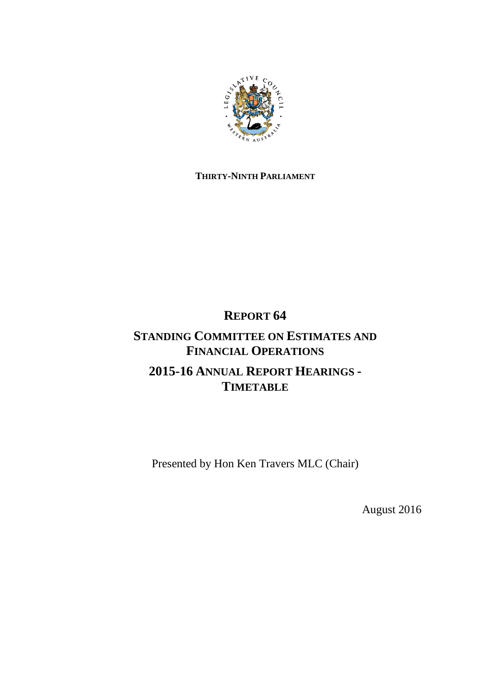

# **THIRTY-NINTH PARLIAMENT**

# **REPORT 64**

# **STANDING COMMITTEE ON ESTIMATES AND FINANCIAL OPERATIONS 2015-16 ANNUAL REPORT HEARINGS - TIMETABLE**

Presented by Hon Ken Travers MLC (Chair)

August 2016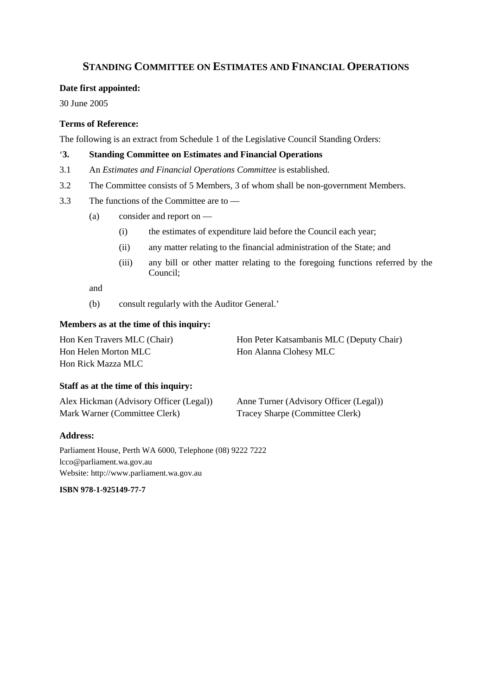# **STANDING COMMITTEE ON ESTIMATES AND FINANCIAL OPERATIONS**

### **Date first appointed:**

30 June 2005

# **Terms of Reference:**

The following is an extract from Schedule 1 of the Legislative Council Standing Orders:

## '**3. Standing Committee on Estimates and Financial Operations**

- 3.1 An *Estimates and Financial Operations Committee* is established.
- 3.2 The Committee consists of 5 Members, 3 of whom shall be non-government Members.
- 3.3 The functions of the Committee are to
	- (a) consider and report on
		- (i) the estimates of expenditure laid before the Council each year;
		- (ii) any matter relating to the financial administration of the State; and
		- (iii) any bill or other matter relating to the foregoing functions referred by the Council;

and

(b) consult regularly with the Auditor General.'

## **Members as at the time of this inquiry:**

| Hon Ken Travers MLC (Chair) | Hon Peter Katsambanis MLC (Deputy Chair) |
|-----------------------------|------------------------------------------|
| Hon Helen Morton MLC        | Hon Alanna Clohesy MLC                   |
| Hon Rick Mazza MLC -        |                                          |

### **Staff as at the time of this inquiry:**

| Alex Hickman (Advisory Officer (Legal)) | Anne Turner (Advisory Officer (Legal)) |
|-----------------------------------------|----------------------------------------|
| Mark Warner (Committee Clerk)           | Tracey Sharpe (Committee Clerk)        |

#### **Address:**

Parliament House, Perth WA 6000, Telephone (08) 9222 7222 lcco@parliament.wa.gov.au Website: http://www.parliament.wa.gov.au

**ISBN 978-1-925149-77-7**